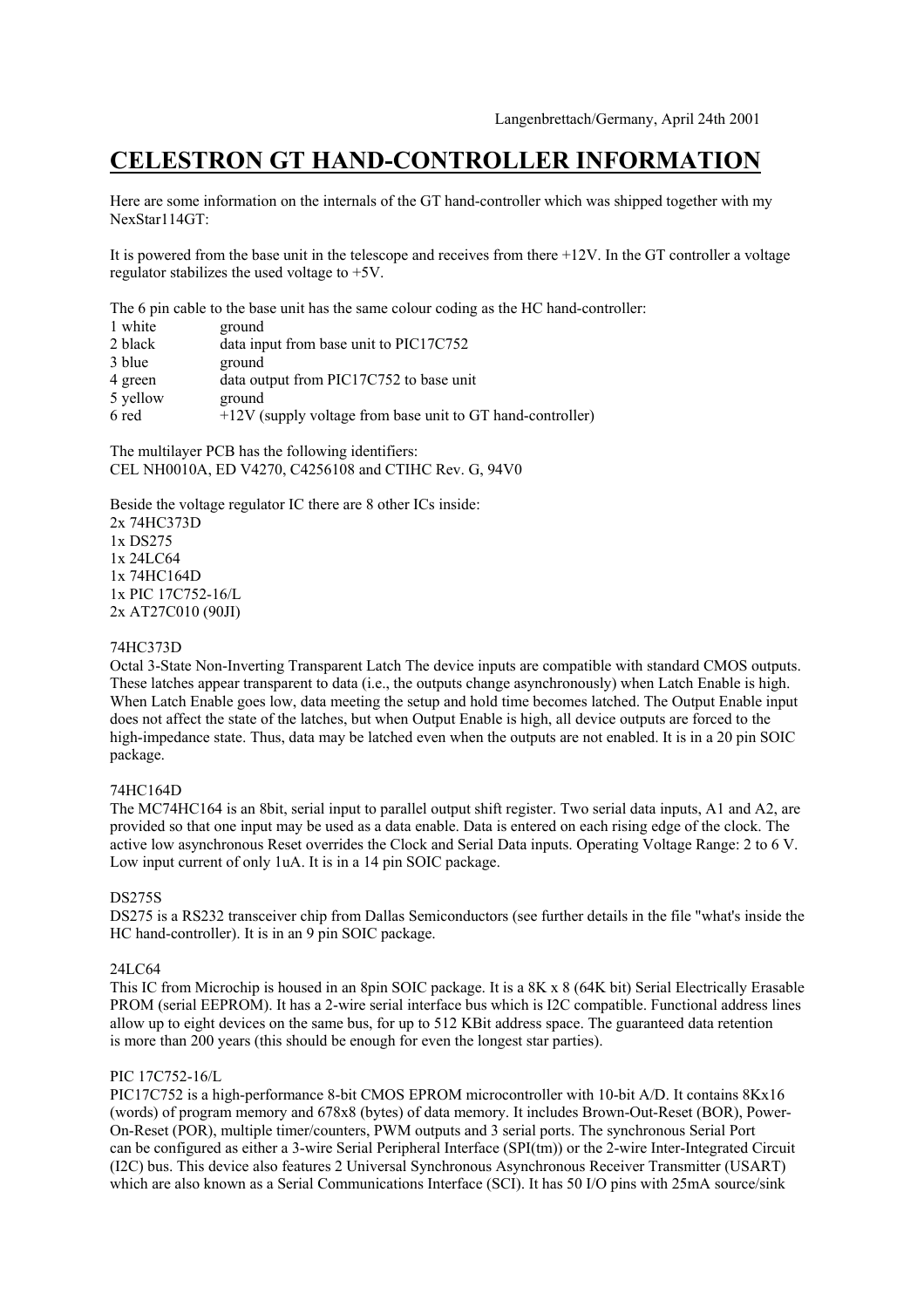# **CELESTRON GT HAND-CONTROLLER INFORMATION**

Here are some information on the internals of the GT hand-controller which was shipped together with my NexStar114GT:

It is powered from the base unit in the telescope and receives from there +12V. In the GT controller a voltage regulator stabilizes the used voltage to +5V.

The 6 pin cable to the base unit has the same colour coding as the HC hand-controller:

| 1 white  | ground                                                       |
|----------|--------------------------------------------------------------|
| 2 black  | data input from base unit to PIC17C752                       |
| 3 blue   | ground                                                       |
| 4 green  | data output from PIC17C752 to base unit                      |
| 5 yellow | ground                                                       |
| 6 red    | $+12V$ (supply voltage from base unit to GT hand-controller) |

The multilayer PCB has the following identifiers: CEL NH0010A, ED V4270, C4256108 and CTIHC Rev. G, 94V0

Beside the voltage regulator IC there are 8 other ICs inside: 2x 74HC373D 1x DS275 1x 24LC64 1x 74HC164D 1x PIC 17C752-16/L 2x AT27C010 (90JI)

## 74HC373D

Octal 3-State Non-Inverting Transparent Latch The device inputs are compatible with standard CMOS outputs. These latches appear transparent to data (i.e., the outputs change asynchronously) when Latch Enable is high. When Latch Enable goes low, data meeting the setup and hold time becomes latched. The Output Enable input does not affect the state of the latches, but when Output Enable is high, all device outputs are forced to the high-impedance state. Thus, data may be latched even when the outputs are not enabled. It is in a 20 pin SOIC package.

## 74HC164D

The MC74HC164 is an 8bit, serial input to parallel output shift register. Two serial data inputs, A1 and A2, are provided so that one input may be used as a data enable. Data is entered on each rising edge of the clock. The active low asynchronous Reset overrides the Clock and Serial Data inputs. Operating Voltage Range: 2 to 6 V. Low input current of only 1uA. It is in a 14 pin SOIC package.

## DS275S

DS275 is a RS232 transceiver chip from Dallas Semiconductors (see further details in the file "what's inside the HC hand-controller). It is in an 9 pin SOIC package.

## 24LC64

This IC from Microchip is housed in an 8pin SOIC package. It is a 8K x 8 (64K bit) Serial Electrically Erasable PROM (serial EEPROM). It has a 2-wire serial interface bus which is I2C compatible. Functional address lines allow up to eight devices on the same bus, for up to 512 KBit address space. The guaranteed data retention is more than 200 years (this should be enough for even the longest star parties).

## PIC 17C752-16/L

PIC17C752 is a high-performance 8-bit CMOS EPROM microcontroller with 10-bit A/D. It contains 8Kx16 (words) of program memory and 678x8 (bytes) of data memory. It includes Brown-Out-Reset (BOR), Power-On-Reset (POR), multiple timer/counters, PWM outputs and 3 serial ports. The synchronous Serial Port can be configured as either a 3-wire Serial Peripheral Interface (SPI(tm)) or the 2-wire Inter-Integrated Circuit (I2C) bus. This device also features 2 Universal Synchronous Asynchronous Receiver Transmitter (USART) which are also known as a Serial Communications Interface (SCI). It has 50 I/O pins with 25mA source/sink